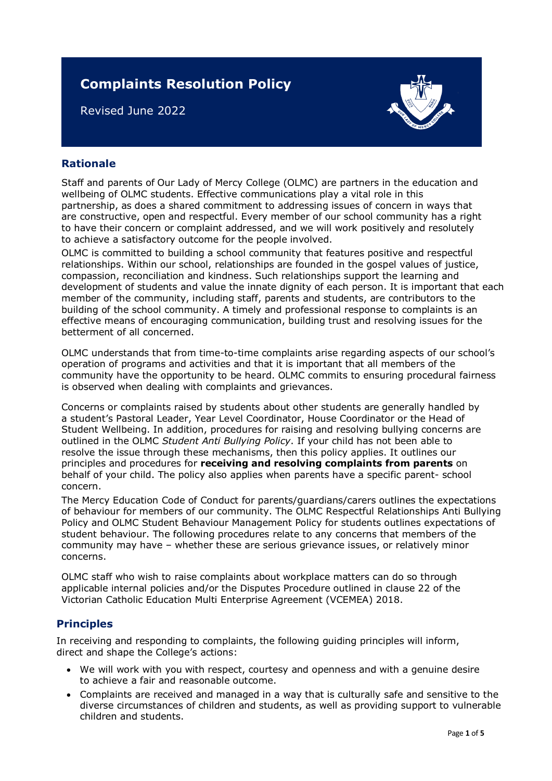# **Complaints Resolution Policy**

Revised June 2022



# **Rationale**

Staff and parents of Our Lady of Mercy College (OLMC) are partners in the education and wellbeing of OLMC students. Effective communications play a vital role in this partnership, as does a shared commitment to addressing issues of concern in ways that are constructive, open and respectful. Every member of our school community has a right to have their concern or complaint addressed, and we will work positively and resolutely to achieve a satisfactory outcome for the people involved.

OLMC is committed to building a school community that features positive and respectful relationships. Within our school, relationships are founded in the gospel values of justice, compassion, reconciliation and kindness. Such relationships support the learning and development of students and value the innate dignity of each person. It is important that each member of the community, including staff, parents and students, are contributors to the building of the school community. A timely and professional response to complaints is an effective means of encouraging communication, building trust and resolving issues for the betterment of all concerned.

OLMC understands that from time-to-time complaints arise regarding aspects of our school's operation of programs and activities and that it is important that all members of the community have the opportunity to be heard. OLMC commits to ensuring procedural fairness is observed when dealing with complaints and grievances.

Concerns or complaints raised by students about other students are generally handled by a student's Pastoral Leader, Year Level Coordinator, House Coordinator or the Head of Student Wellbeing. In addition, procedures for raising and resolving bullying concerns are outlined in the OLMC *Student Anti Bullying Policy*. If your child has not been able to resolve the issue through these mechanisms, then this policy applies. It outlines our principles and procedures for **receiving and resolving complaints from parents** on behalf of your child. The policy also applies when parents have a specific parent- school concern.

The Mercy Education Code of Conduct for parents/guardians/carers outlines the expectations of behaviour for members of our community. The OLMC Respectful Relationships Anti Bullying Policy and OLMC Student Behaviour Management Policy for students outlines expectations of student behaviour. The following procedures relate to any concerns that members of the community may have – whether these are serious grievance issues, or relatively minor concerns.

OLMC staff who wish to raise complaints about workplace matters can do so through applicable internal policies and/or the Disputes Procedure outlined in clause 22 of the Victorian Catholic Education Multi Enterprise Agreement (VCEMEA) 2018.

# **Principles**

In receiving and responding to complaints, the following guiding principles will inform, direct and shape the College's actions:

- We will work with you with respect, courtesy and openness and with a genuine desire to achieve a fair and reasonable outcome.
- Complaints are received and managed in a way that is culturally safe and sensitive to the diverse circumstances of children and students, as well as providing support to vulnerable children and students.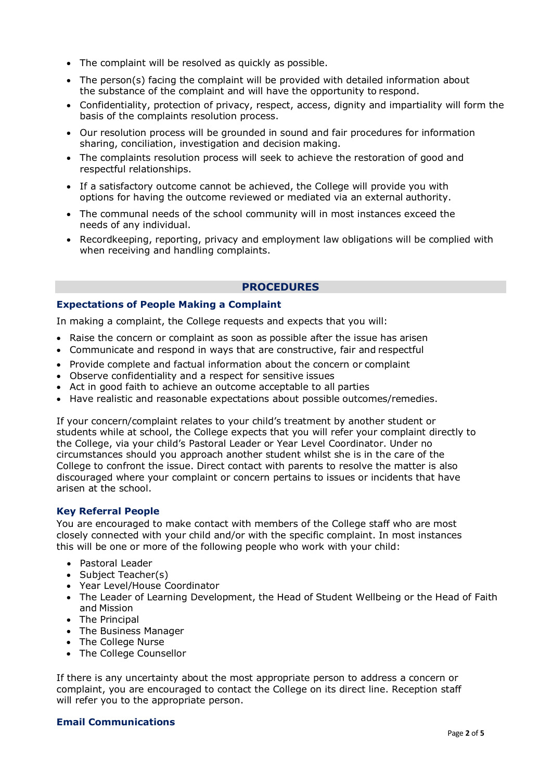- The complaint will be resolved as quickly as possible.
- The person(s) facing the complaint will be provided with detailed information about the substance of the complaint and will have the opportunity to respond.
- Confidentiality, protection of privacy, respect, access, dignity and impartiality will form the basis of the complaints resolution process.
- Our resolution process will be grounded in sound and fair procedures for information sharing, conciliation, investigation and decision making.
- The complaints resolution process will seek to achieve the restoration of good and respectful relationships.
- If a satisfactory outcome cannot be achieved, the College will provide you with options for having the outcome reviewed or mediated via an external authority.
- The communal needs of the school community will in most instances exceed the needs of any individual.
- Recordkeeping, reporting, privacy and employment law obligations will be complied with when receiving and handling complaints.

## **PROCEDURES**

## **Expectations of People Making a Complaint**

In making a complaint, the College requests and expects that you will:

- Raise the concern or complaint as soon as possible after the issue has arisen
- Communicate and respond in ways that are constructive, fair and respectful
- Provide complete and factual information about the concern or complaint
- Observe confidentiality and a respect for sensitive issues
- Act in good faith to achieve an outcome acceptable to all parties
- Have realistic and reasonable expectations about possible outcomes/remedies.

If your concern/complaint relates to your child's treatment by another student or students while at school, the College expects that you will refer your complaint directly to the College, via your child's Pastoral Leader or Year Level Coordinator. Under no circumstances should you approach another student whilst she is in the care of the College to confront the issue. Direct contact with parents to resolve the matter is also discouraged where your complaint or concern pertains to issues or incidents that have arisen at the school.

## **Key Referral People**

You are encouraged to make contact with members of the College staff who are most closely connected with your child and/or with the specific complaint. In most instances this will be one or more of the following people who work with your child:

- Pastoral Leader
- Subject Teacher(s)
- Year Level/House Coordinator
- The Leader of Learning Development, the Head of Student Wellbeing or the Head of Faith and Mission
- The Principal
- The Business Manager
- The College Nurse
- The College Counsellor

If there is any uncertainty about the most appropriate person to address a concern or complaint, you are encouraged to contact the College on its direct line. Reception staff will refer you to the appropriate person.

## **Email Communications**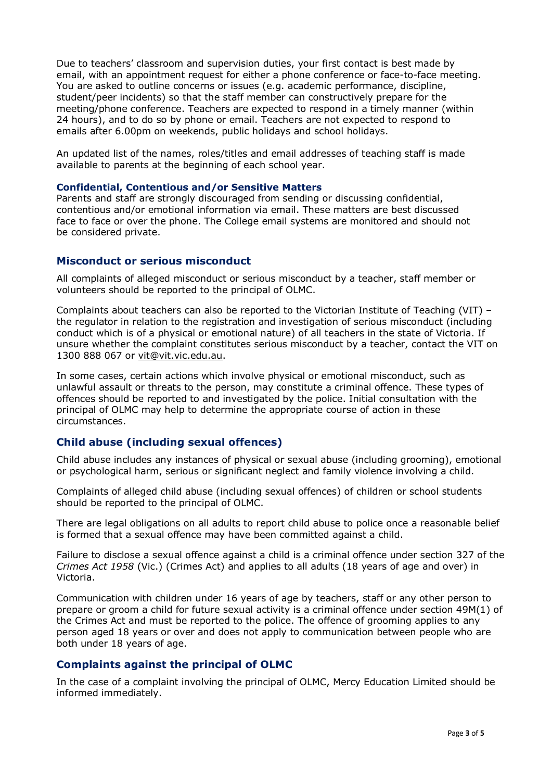Due to teachers' classroom and supervision duties, your first contact is best made by email, with an appointment request for either a phone conference or face-to-face meeting. You are asked to outline concerns or issues (e.g. academic performance, discipline, student/peer incidents) so that the staff member can constructively prepare for the meeting/phone conference. Teachers are expected to respond in a timely manner (within 24 hours), and to do so by phone or email. Teachers are not expected to respond to emails after 6.00pm on weekends, public holidays and school holidays.

An updated list of the names, roles/titles and email addresses of teaching staff is made available to parents at the beginning of each school year.

#### **Confidential, Contentious and/or Sensitive Matters**

Parents and staff are strongly discouraged from sending or discussing confidential, contentious and/or emotional information via email. These matters are best discussed face to face or over the phone. The College email systems are monitored and should not be considered private.

## **Misconduct or serious misconduct**

All complaints of alleged misconduct or serious misconduct by a teacher, staff member or volunteers should be reported to the principal of OLMC.

Complaints about teachers can also be reported to the Victorian Institute of Teaching (VIT) – the regulator in relation to the registration and investigation of serious misconduct (including conduct which is of a physical or emotional nature) of all teachers in the state of Victoria. If unsure whether the complaint constitutes serious misconduct by a teacher, contact the VIT on 1300 888 067 or [vit@vit.vic.edu.au.](mailto:vit@vit.vic.edu.au)

In some cases, certain actions which involve physical or emotional misconduct, such as unlawful assault or threats to the person, may constitute a criminal offence. These types of offences should be reported to and investigated by the police. Initial consultation with the principal of OLMC may help to determine the appropriate course of action in these circumstances.

## **Child abuse (including sexual offences)**

Child abuse includes any instances of physical or sexual abuse (including grooming), emotional or psychological harm, serious or significant neglect and family violence involving a child.

Complaints of alleged child abuse (including sexual offences) of children or school students should be reported to the principal of OLMC.

There are legal obligations on all adults to report child abuse to police once a reasonable belief is formed that a sexual offence may have been committed against a child.

Failure to disclose a sexual offence against a child is a criminal offence under section 327 of the *Crimes Act 1958* (Vic.) (Crimes Act) and applies to all adults (18 years of age and over) in Victoria.

Communication with children under 16 years of age by teachers, staff or any other person to prepare or groom a child for future sexual activity is a criminal offence under section 49M(1) of the Crimes Act and must be reported to the police. The offence of grooming applies to any person aged 18 years or over and does not apply to communication between people who are both under 18 years of age.

## **Complaints against the principal of OLMC**

In the case of a complaint involving the principal of OLMC, Mercy Education Limited should be informed immediately.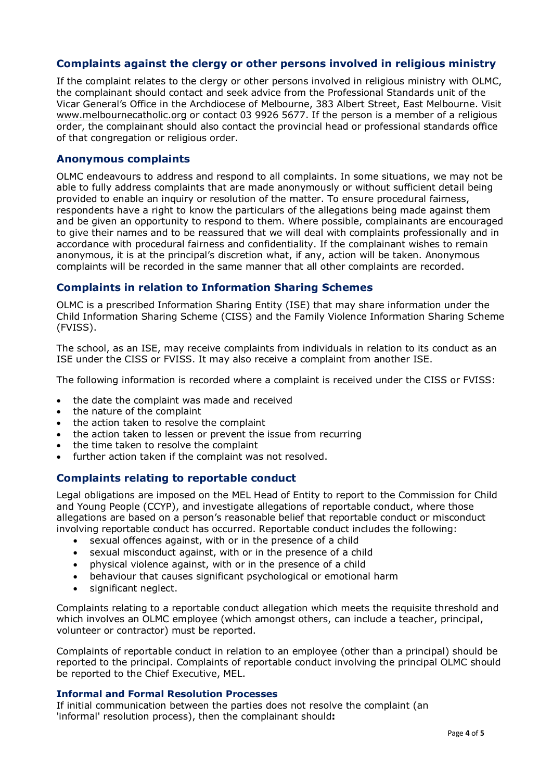# **Complaints against the clergy or other persons involved in religious ministry**

If the complaint relates to the clergy or other persons involved in religious ministry with OLMC, the complainant should contact and seek advice from the Professional Standards unit of the Vicar General's Office in the Archdiocese of Melbourne, 383 Albert Street, East Melbourne. Visit [www.melbournecatholic.org](http://www.melbournecatholic.org/) or contact 03 9926 5677. If the person is a member of a religious order, the complainant should also contact the provincial head or professional standards office of that congregation or religious order.

## **Anonymous complaints**

OLMC endeavours to address and respond to all complaints. In some situations, we may not be able to fully address complaints that are made anonymously or without sufficient detail being provided to enable an inquiry or resolution of the matter. To ensure procedural fairness, respondents have a right to know the particulars of the allegations being made against them and be given an opportunity to respond to them. Where possible, complainants are encouraged to give their names and to be reassured that we will deal with complaints professionally and in accordance with procedural fairness and confidentiality. If the complainant wishes to remain anonymous, it is at the principal's discretion what, if any, action will be taken. Anonymous complaints will be recorded in the same manner that all other complaints are recorded.

# **Complaints in relation to Information Sharing Schemes**

OLMC is a prescribed Information Sharing Entity (ISE) that may share information under the Child Information Sharing Scheme (CISS) and the Family Violence Information Sharing Scheme (FVISS).

The school, as an ISE, may receive complaints from individuals in relation to its conduct as an ISE under the CISS or FVISS. It may also receive a complaint from another ISE.

The following information is recorded where a complaint is received under the CISS or FVISS:

- the date the complaint was made and received
- the nature of the complaint
- the action taken to resolve the complaint
- the action taken to lessen or prevent the issue from recurring
- the time taken to resolve the complaint
- further action taken if the complaint was not resolved.

## **Complaints relating to reportable conduct**

Legal obligations are imposed on the MEL Head of Entity to report to the Commission for Child and Young People (CCYP), and investigate allegations of reportable conduct, where those allegations are based on a person's reasonable belief that reportable conduct or misconduct involving reportable conduct has occurred. Reportable conduct includes the following:

- sexual offences against, with or in the presence of a child
- sexual misconduct against, with or in the presence of a child
- physical violence against, with or in the presence of a child
- behaviour that causes significant psychological or emotional harm
- significant neglect.

Complaints relating to a reportable conduct allegation which meets the requisite threshold and which involves an OLMC employee (which amongst others, can include a teacher, principal, volunteer or contractor) must be reported.

Complaints of reportable conduct in relation to an employee (other than a principal) should be reported to the principal. Complaints of reportable conduct involving the principal OLMC should be reported to the Chief Executive, MEL.

## **Informal and Formal Resolution Processes**

If initial communication between the parties does not resolve the complaint (an 'informal' resolution process), then the complainant should**:**